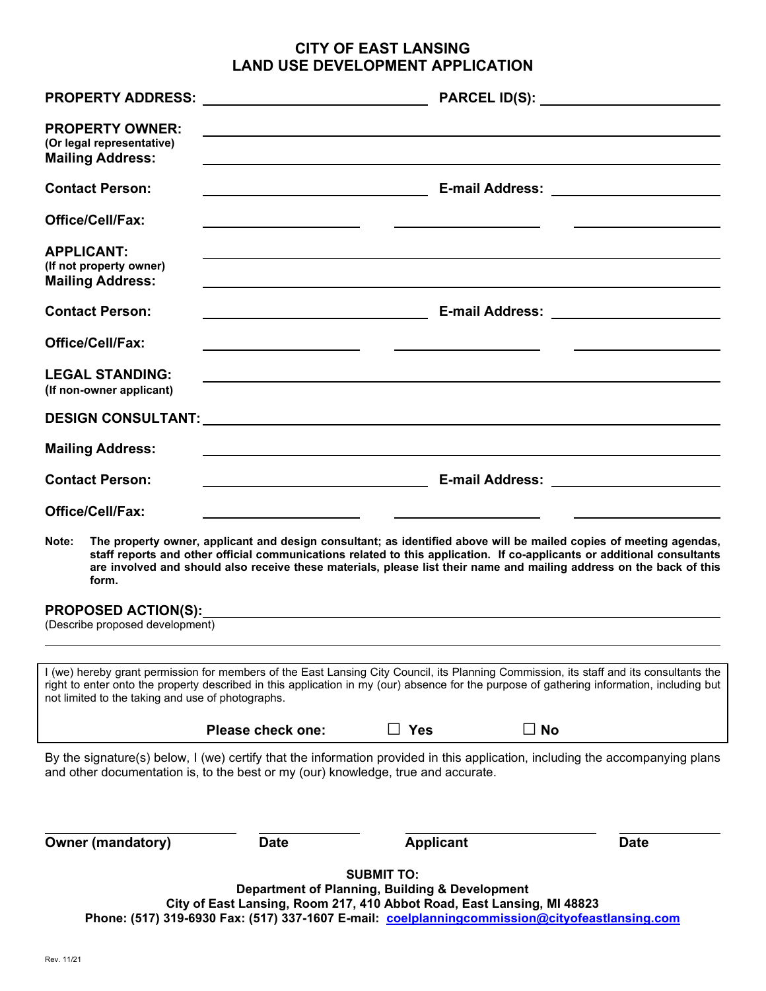## **CITY OF EAST LANSING LAND USE DEVELOPMENT APPLICATION**

| <b>PROPERTY OWNER:</b><br>(Or legal representative)<br><b>Mailing Address:</b>                                                                                                                                                                                                                                                             |                                                                                                                                                                                                                                                                                                                                                                       |                                                                                                                        |           |                                             |
|--------------------------------------------------------------------------------------------------------------------------------------------------------------------------------------------------------------------------------------------------------------------------------------------------------------------------------------------|-----------------------------------------------------------------------------------------------------------------------------------------------------------------------------------------------------------------------------------------------------------------------------------------------------------------------------------------------------------------------|------------------------------------------------------------------------------------------------------------------------|-----------|---------------------------------------------|
| <b>Contact Person:</b>                                                                                                                                                                                                                                                                                                                     | <u> 1980 - Johann Barn, mars eta bainar eta idazlea (</u>                                                                                                                                                                                                                                                                                                             |                                                                                                                        |           | E-mail Address: __________________________  |
| <b>Office/Cell/Fax:</b>                                                                                                                                                                                                                                                                                                                    |                                                                                                                                                                                                                                                                                                                                                                       |                                                                                                                        |           |                                             |
| <b>APPLICANT:</b><br>(If not property owner)<br><b>Mailing Address:</b>                                                                                                                                                                                                                                                                    |                                                                                                                                                                                                                                                                                                                                                                       |                                                                                                                        |           |                                             |
| <b>Contact Person:</b>                                                                                                                                                                                                                                                                                                                     | <u> 1990 - Johann John Stein, markin santa shekara ta 1990 - An an tsara</u>                                                                                                                                                                                                                                                                                          |                                                                                                                        |           | E-mail Address: <u>____________________</u> |
| <b>Office/Cell/Fax:</b>                                                                                                                                                                                                                                                                                                                    |                                                                                                                                                                                                                                                                                                                                                                       |                                                                                                                        |           |                                             |
| <b>LEGAL STANDING:</b><br>(If non-owner applicant)                                                                                                                                                                                                                                                                                         |                                                                                                                                                                                                                                                                                                                                                                       |                                                                                                                        |           |                                             |
|                                                                                                                                                                                                                                                                                                                                            |                                                                                                                                                                                                                                                                                                                                                                       |                                                                                                                        |           |                                             |
| <b>Mailing Address:</b>                                                                                                                                                                                                                                                                                                                    |                                                                                                                                                                                                                                                                                                                                                                       | <u> 1989 - Johann Stoff, deutscher Stoffen und der Stoffen und der Stoffen und der Stoffen und der Stoffen und der</u> |           |                                             |
| <b>Contact Person:</b>                                                                                                                                                                                                                                                                                                                     |                                                                                                                                                                                                                                                                                                                                                                       |                                                                                                                        |           |                                             |
| <b>Office/Cell/Fax:</b>                                                                                                                                                                                                                                                                                                                    |                                                                                                                                                                                                                                                                                                                                                                       |                                                                                                                        |           |                                             |
| Note:<br>form.                                                                                                                                                                                                                                                                                                                             | The property owner, applicant and design consultant; as identified above will be mailed copies of meeting agendas,<br>staff reports and other official communications related to this application. If co-applicants or additional consultants<br>are involved and should also receive these materials, please list their name and mailing address on the back of this |                                                                                                                        |           |                                             |
| <b>PROPOSED ACTION(S):</b><br>(Describe proposed development)                                                                                                                                                                                                                                                                              |                                                                                                                                                                                                                                                                                                                                                                       |                                                                                                                        |           |                                             |
| I (we) hereby grant permission for members of the East Lansing City Council, its Planning Commission, its staff and its consultants the<br>right to enter onto the property described in this application in my (our) absence for the purpose of gathering information, including but<br>not limited to the taking and use of photographs. |                                                                                                                                                                                                                                                                                                                                                                       |                                                                                                                        |           |                                             |
|                                                                                                                                                                                                                                                                                                                                            | <b>Please check one:</b>                                                                                                                                                                                                                                                                                                                                              | コ Yes                                                                                                                  | $\Box$ No |                                             |
| By the signature(s) below, I (we) certify that the information provided in this application, including the accompanying plans<br>and other documentation is, to the best or my (our) knowledge, true and accurate.                                                                                                                         |                                                                                                                                                                                                                                                                                                                                                                       |                                                                                                                        |           |                                             |
| <b>Owner (mandatory)</b>                                                                                                                                                                                                                                                                                                                   | <b>Date</b>                                                                                                                                                                                                                                                                                                                                                           | <b>Applicant</b>                                                                                                       |           | <b>Date</b>                                 |
|                                                                                                                                                                                                                                                                                                                                            | City of East Lansing, Room 217, 410 Abbot Road, East Lansing, MI 48823<br>Phone: (517) 319-6930 Fax: (517) 337-1607 E-mail: coelplanningcommission@cityofeastlansing.com                                                                                                                                                                                              | <b>SUBMIT TO:</b><br>Department of Planning, Building & Development                                                    |           |                                             |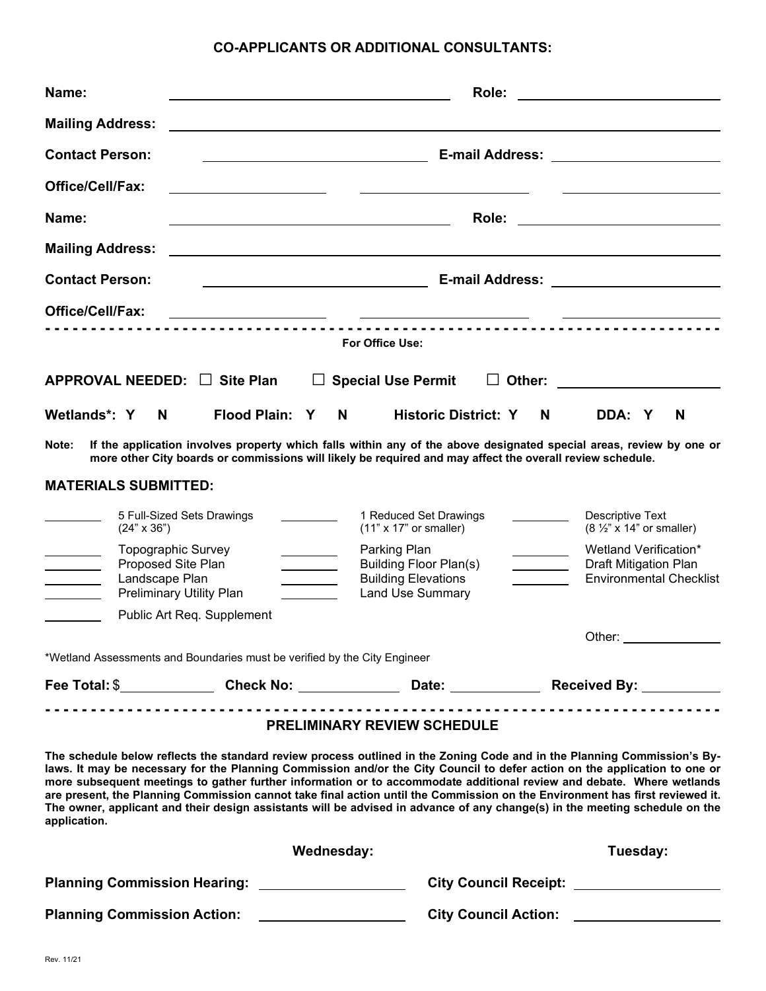### **CO-APPLICANTS OR ADDITIONAL CONSULTANTS:**

| Name:                                                                                                                                                                                                                                                                                                                                                                                                                                                                                                                                 |                                                                                                                       |                                                                                                        | Role:                       |        | <u> 1989 - Johann Barbara, martxa alemaniar a</u>                                                                     |
|---------------------------------------------------------------------------------------------------------------------------------------------------------------------------------------------------------------------------------------------------------------------------------------------------------------------------------------------------------------------------------------------------------------------------------------------------------------------------------------------------------------------------------------|-----------------------------------------------------------------------------------------------------------------------|--------------------------------------------------------------------------------------------------------|-----------------------------|--------|-----------------------------------------------------------------------------------------------------------------------|
| <b>Mailing Address:</b>                                                                                                                                                                                                                                                                                                                                                                                                                                                                                                               |                                                                                                                       |                                                                                                        |                             |        |                                                                                                                       |
| <b>Contact Person:</b>                                                                                                                                                                                                                                                                                                                                                                                                                                                                                                                |                                                                                                                       | <u> 1980 - Johann Barn, fransk politik (d. 1980)</u>                                                   |                             |        |                                                                                                                       |
| <b>Office/Cell/Fax:</b>                                                                                                                                                                                                                                                                                                                                                                                                                                                                                                               | <u> 1980 - Andrea Andrew Maria (h. 1980).</u>                                                                         |                                                                                                        |                             |        |                                                                                                                       |
| Name:                                                                                                                                                                                                                                                                                                                                                                                                                                                                                                                                 | <u> 1989 - Johann Barbara, martin amerikan basar dan berasal dan berasal dalam basar dalam basar dalam basar dala</u> |                                                                                                        | Role:                       |        | <u> 1989 - Johann Stoff, fransk kongresu</u>                                                                          |
| <b>Mailing Address:</b>                                                                                                                                                                                                                                                                                                                                                                                                                                                                                                               |                                                                                                                       |                                                                                                        |                             |        |                                                                                                                       |
| <b>Contact Person:</b>                                                                                                                                                                                                                                                                                                                                                                                                                                                                                                                |                                                                                                                       | <u> 1989 - Johann Barnett, fransk politik (</u>                                                        |                             |        |                                                                                                                       |
| <b>Office/Cell/Fax:</b>                                                                                                                                                                                                                                                                                                                                                                                                                                                                                                               |                                                                                                                       | <u> 1989 - Johann John Stone, mars et al. (</u>                                                        |                             |        |                                                                                                                       |
|                                                                                                                                                                                                                                                                                                                                                                                                                                                                                                                                       |                                                                                                                       | For Office Use:                                                                                        |                             |        |                                                                                                                       |
| APPROVAL NEEDED: □ Site Plan                                                                                                                                                                                                                                                                                                                                                                                                                                                                                                          |                                                                                                                       | <b>Special Use Permit</b>                                                                              | $\perp$                     | Other: |                                                                                                                       |
| Wetlands*: Y<br>N                                                                                                                                                                                                                                                                                                                                                                                                                                                                                                                     | Flood Plain: Y                                                                                                        | N                                                                                                      | <b>Historic District: Y</b> | N.     | DDA: Y<br>N                                                                                                           |
| Note:                                                                                                                                                                                                                                                                                                                                                                                                                                                                                                                                 | more other City boards or commissions will likely be required and may affect the overall review schedule.             |                                                                                                        |                             |        | If the application involves property which falls within any of the above designated special areas, review by one or   |
| <b>MATERIALS SUBMITTED:</b>                                                                                                                                                                                                                                                                                                                                                                                                                                                                                                           |                                                                                                                       |                                                                                                        |                             |        |                                                                                                                       |
| 5 Full-Sized Sets Drawings<br>$(24" \times 36")$                                                                                                                                                                                                                                                                                                                                                                                                                                                                                      |                                                                                                                       | 1 Reduced Set Drawings<br>$(11" \times 17"$ or smaller)                                                |                             |        | Descriptive Text<br>$(8 \frac{1}{2}$ " x 14" or smaller)                                                              |
| <b>Topographic Survey</b><br>Proposed Site Plan<br>Landscape Plan<br><b>Preliminary Utility Plan</b>                                                                                                                                                                                                                                                                                                                                                                                                                                  |                                                                                                                       | Parking Plan<br><b>Building Floor Plan(s)</b><br><b>Building Elevations</b><br><b>Land Use Summary</b> |                             |        | Wetland Verification*<br><b>Draft Mitigation Plan</b><br><b>Environmental Checklist</b>                               |
|                                                                                                                                                                                                                                                                                                                                                                                                                                                                                                                                       | Public Art Req. Supplement                                                                                            |                                                                                                        |                             |        |                                                                                                                       |
| *Wetland Assessments and Boundaries must be verified by the City Engineer                                                                                                                                                                                                                                                                                                                                                                                                                                                             |                                                                                                                       |                                                                                                        |                             |        | Other:                                                                                                                |
| Fee Total: \$_______________Check No: _______________Date: ______________Received By: ____________                                                                                                                                                                                                                                                                                                                                                                                                                                    |                                                                                                                       |                                                                                                        |                             |        |                                                                                                                       |
| The schedule below reflects the standard review process outlined in the Zoning Code and in the Planning Commission's By-<br>laws. It may be necessary for the Planning Commission and/or the City Council to defer action on the application to one or<br>are present, the Planning Commission cannot take final action until the Commission on the Environment has first reviewed it.<br>The owner, applicant and their design assistants will be advised in advance of any change(s) in the meeting schedule on the<br>application. |                                                                                                                       | <b>PRELIMINARY REVIEW SCHEDULE</b>                                                                     |                             |        | more subsequent meetings to gather further information or to accommodate additional review and debate. Where wetlands |
|                                                                                                                                                                                                                                                                                                                                                                                                                                                                                                                                       |                                                                                                                       | Wednesday:                                                                                             |                             |        | Tuesday:                                                                                                              |
| Planning Commission Hearing: ___________________                                                                                                                                                                                                                                                                                                                                                                                                                                                                                      |                                                                                                                       |                                                                                                        |                             |        |                                                                                                                       |
| <b>Planning Commission Action:</b>                                                                                                                                                                                                                                                                                                                                                                                                                                                                                                    |                                                                                                                       |                                                                                                        |                             |        | City Council Action: _________________                                                                                |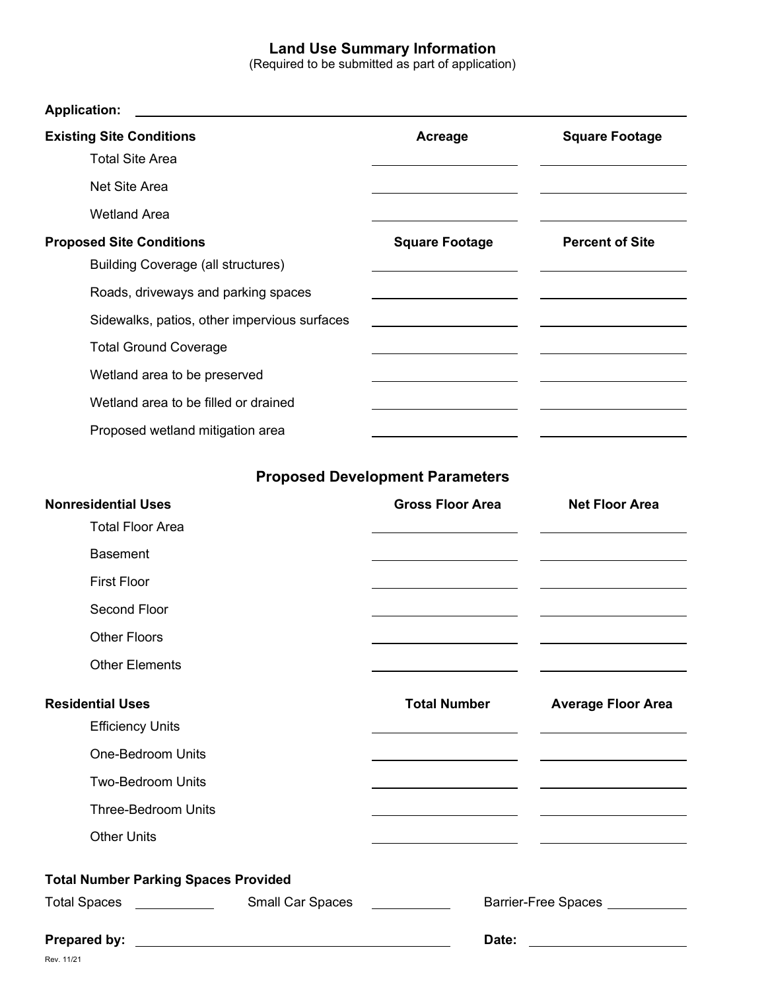## **Land Use Summary Information**

(Required to be submitted as part of application)

| <b>Existing Site Conditions</b>                                | Acreage                                                                                                               | <b>Square Footage</b>                                                                                                                                                                                                                |
|----------------------------------------------------------------|-----------------------------------------------------------------------------------------------------------------------|--------------------------------------------------------------------------------------------------------------------------------------------------------------------------------------------------------------------------------------|
| <b>Total Site Area</b>                                         |                                                                                                                       |                                                                                                                                                                                                                                      |
| Net Site Area                                                  |                                                                                                                       |                                                                                                                                                                                                                                      |
| <b>Wetland Area</b>                                            |                                                                                                                       |                                                                                                                                                                                                                                      |
| <b>Proposed Site Conditions</b>                                | <b>Square Footage</b>                                                                                                 | <b>Percent of Site</b>                                                                                                                                                                                                               |
| <b>Building Coverage (all structures)</b>                      |                                                                                                                       |                                                                                                                                                                                                                                      |
| Roads, driveways and parking spaces                            |                                                                                                                       |                                                                                                                                                                                                                                      |
| Sidewalks, patios, other impervious surfaces                   |                                                                                                                       |                                                                                                                                                                                                                                      |
| <b>Total Ground Coverage</b>                                   |                                                                                                                       |                                                                                                                                                                                                                                      |
| Wetland area to be preserved                                   |                                                                                                                       |                                                                                                                                                                                                                                      |
| Wetland area to be filled or drained                           |                                                                                                                       |                                                                                                                                                                                                                                      |
| Proposed wetland mitigation area                               |                                                                                                                       |                                                                                                                                                                                                                                      |
|                                                                | <b>Proposed Development Parameters</b>                                                                                |                                                                                                                                                                                                                                      |
| <b>Nonresidential Uses</b>                                     | <b>Gross Floor Area</b>                                                                                               | <b>Net Floor Area</b>                                                                                                                                                                                                                |
| <b>Total Floor Area</b>                                        |                                                                                                                       |                                                                                                                                                                                                                                      |
| <b>Basement</b>                                                |                                                                                                                       |                                                                                                                                                                                                                                      |
| <b>First Floor</b>                                             |                                                                                                                       |                                                                                                                                                                                                                                      |
| Second Floor                                                   |                                                                                                                       |                                                                                                                                                                                                                                      |
| <b>Other Floors</b>                                            |                                                                                                                       |                                                                                                                                                                                                                                      |
| <b>Other Elements</b>                                          |                                                                                                                       |                                                                                                                                                                                                                                      |
| <b>Residential Uses</b>                                        | <b>Total Number</b>                                                                                                   | <b>Average Floor Area</b>                                                                                                                                                                                                            |
| <b>Efficiency Units</b>                                        |                                                                                                                       |                                                                                                                                                                                                                                      |
| <b>One-Bedroom Units</b>                                       | <u> 1980 - Johann Barn, mars ann an t-Amhain ann an t-Amhain an t-Amhain an t-Amhain an t-Amhain ann an t-Amhain </u> | <u> 1980 - John Stein, Amerikaansk politiker (</u>                                                                                                                                                                                   |
| Two-Bedroom Units                                              |                                                                                                                       |                                                                                                                                                                                                                                      |
| <b>Three-Bedroom Units</b>                                     |                                                                                                                       | <u> Alexandria de la contrada de la contrada de la contrada de la contrada de la contrada de la contrada de la c</u>                                                                                                                 |
| <b>Other Units</b>                                             | <u> 1989 - Johann Barn, mars eta biztanleria (h. 1989).</u>                                                           | <u> 1980 - Andrea Andrew Maria (h. 1976).</u>                                                                                                                                                                                        |
| <b>Total Number Parking Spaces Provided</b>                    |                                                                                                                       |                                                                                                                                                                                                                                      |
| Small Car Spaces <u>__________</u><br>Total Spaces ___________ |                                                                                                                       | Barrier-Free Spaces __________                                                                                                                                                                                                       |
|                                                                | Date:                                                                                                                 | <u> The Common State of the Common State of the Common State of the Common State of the Common State of the Common State of the Common State of the Common State of the Common State of the Common State of the Common State of </u> |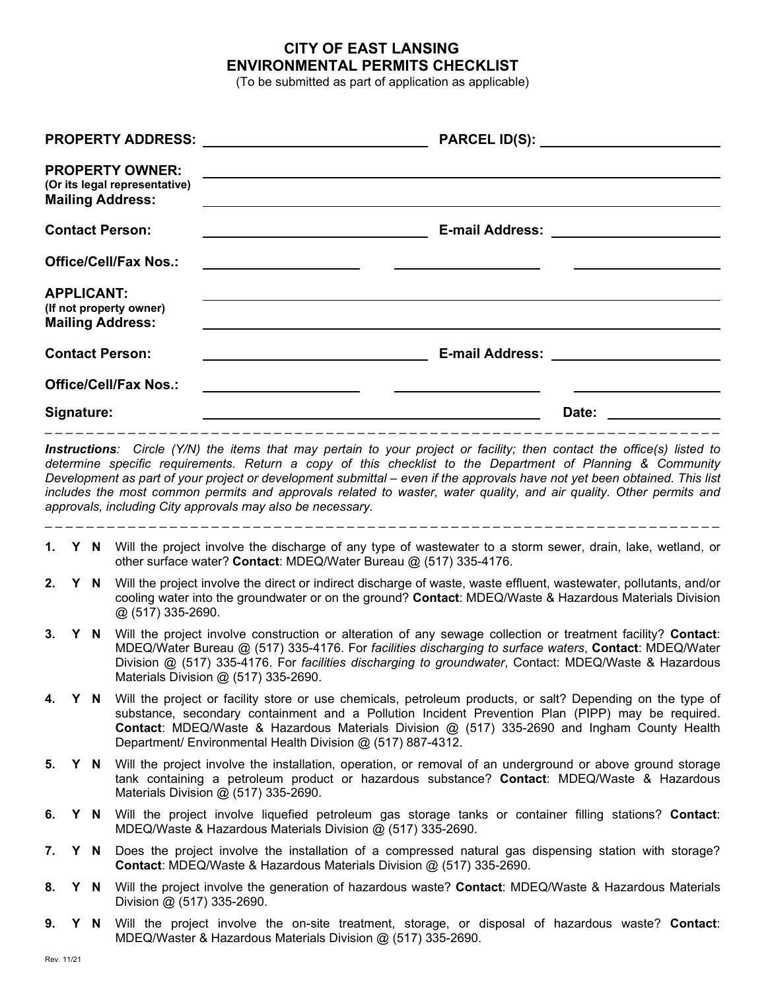#### **CITY OF EAST LANSING ENVIRONMENTAL PERMITS CHECKLIST**

(To be submitted as part of application as applicable)

| <b>PROPERTY OWNER:</b><br>(Or its legal representative)<br><b>Mailing Address:</b><br><b>Contact Person:</b><br><b>E-mail Address:</b><br><b>Office/Cell/Fax Nos.:</b><br><b>APPLICANT:</b><br>(If not property owner)<br><b>Mailing Address:</b><br><b>Contact Person:</b><br><b>E-mail Address:</b><br><b>Office/Cell/Fax Nos.:</b>                                                                                         |  |
|-------------------------------------------------------------------------------------------------------------------------------------------------------------------------------------------------------------------------------------------------------------------------------------------------------------------------------------------------------------------------------------------------------------------------------|--|
|                                                                                                                                                                                                                                                                                                                                                                                                                               |  |
|                                                                                                                                                                                                                                                                                                                                                                                                                               |  |
|                                                                                                                                                                                                                                                                                                                                                                                                                               |  |
|                                                                                                                                                                                                                                                                                                                                                                                                                               |  |
|                                                                                                                                                                                                                                                                                                                                                                                                                               |  |
|                                                                                                                                                                                                                                                                                                                                                                                                                               |  |
| Signature:<br>Date:                                                                                                                                                                                                                                                                                                                                                                                                           |  |
| determine specific requirements. Return a copy of this checklist to the Department of Planning & Community<br>Development as part of your project or development submittal – even if the approvals have not yet been obtained. This list<br>includes the most common permits and approvals related to waster, water quality, and air quality. Other permits and<br>approvals, including City approvals may also be necessary. |  |
| 1. Y N Will the project involve the discharge of any type of wastewater to a storm sewer, drain, lake, wetland, or<br>other surface water? Contact: MDEQ/Water Bureau @ (517) 335-4176.                                                                                                                                                                                                                                       |  |
| 2.<br>Will the project involve the direct or indirect discharge of waste, waste effluent, wastewater, pollutants, and/or<br>Y N<br>cooling water into the groundwater or on the ground? Contact: MDEQ/Waste & Hazardous Materials Division<br>@ (517) 335-2690.                                                                                                                                                               |  |
| Will the project involve construction or alteration of any sewage collection or treatment facility? Contact:<br>3.<br>Y<br>N.<br>MDEQ/Water Bureau @ (517) 335-4176. For facilities discharging to surface waters, Contact: MDEQ/Water<br>Division @ (517) 335-4176. For facilities discharging to groundwater, Contact: MDEQ/Waste & Hazardous<br>Materials Division @ (517) 335-2690.                                       |  |
| Y N Will the project or facility store or use chemicals, petroleum products, or salt? Depending on the type of<br>4.<br>substance, secondary containment and a Pollution Incident Prevention Plan (PIPP) may be required.<br>Contact: MDEQ/Waste & Hazardous Materials Division @ (517) 335-2690 and Ingham County Health<br>Department/ Environmental Health Division @ (517) 887-4312.                                      |  |
| Will the project involve the installation, operation, or removal of an underground or above ground storage<br>5.<br>Y N                                                                                                                                                                                                                                                                                                       |  |
| tank containing a petroleum product or hazardous substance? Contact: MDEQ/Waste & Hazardous<br>Materials Division @ (517) 335-2690.                                                                                                                                                                                                                                                                                           |  |
| 6.<br>Will the project involve liquefied petroleum gas storage tanks or container filling stations? Contact:<br>Y N<br>MDEQ/Waste & Hazardous Materials Division @ (517) 335-2690.                                                                                                                                                                                                                                            |  |
| Does the project involve the installation of a compressed natural gas dispensing station with storage?<br>7.<br>Y.<br>N.<br>Contact: MDEQ/Waste & Hazardous Materials Division @ (517) 335-2690.                                                                                                                                                                                                                              |  |

**9. Y N** Will the project involve the on-site treatment, storage, or disposal of hazardous waste? **Contact**: MDEQ/Waster & Hazardous Materials Division @ (517) 335-2690.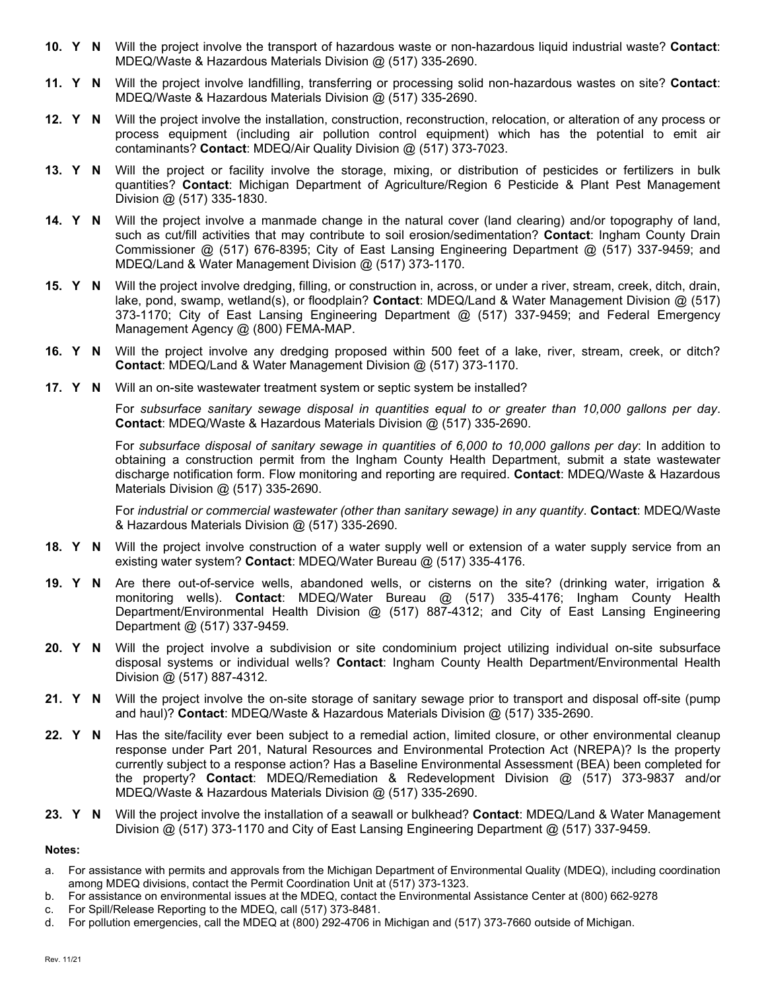- **10. Y N** Will the project involve the transport of hazardous waste or non-hazardous liquid industrial waste? **Contact**: MDEQ/Waste & Hazardous Materials Division @ (517) 335-2690.
- **11. Y N** Will the project involve landfilling, transferring or processing solid non-hazardous wastes on site? **Contact**: MDEQ/Waste & Hazardous Materials Division @ (517) 335-2690.
- **12. Y N** Will the project involve the installation, construction, reconstruction, relocation, or alteration of any process or process equipment (including air pollution control equipment) which has the potential to emit air contaminants? **Contact**: MDEQ/Air Quality Division @ (517) 373-7023.
- **13. Y N** Will the project or facility involve the storage, mixing, or distribution of pesticides or fertilizers in bulk quantities? **Contact**: Michigan Department of Agriculture/Region 6 Pesticide & Plant Pest Management Division @ (517) 335-1830.
- **14. Y N** Will the project involve a manmade change in the natural cover (land clearing) and/or topography of land, such as cut/fill activities that may contribute to soil erosion/sedimentation? **Contact**: Ingham County Drain Commissioner @ (517) 676-8395; City of East Lansing Engineering Department @ (517) 337-9459; and MDEQ/Land & Water Management Division @ (517) 373-1170.
- **15. Y N** Will the project involve dredging, filling, or construction in, across, or under a river, stream, creek, ditch, drain, lake, pond, swamp, wetland(s), or floodplain? **Contact**: MDEQ/Land & Water Management Division @ (517) 373-1170; City of East Lansing Engineering Department @ (517) 337-9459; and Federal Emergency Management Agency @ (800) FEMA-MAP.
- **16. Y N** Will the project involve any dredging proposed within 500 feet of a lake, river, stream, creek, or ditch? **Contact**: MDEQ/Land & Water Management Division @ (517) 373-1170.
- **17. Y N** Will an on-site wastewater treatment system or septic system be installed?

For *subsurface sanitary sewage disposal in quantities equal to or greater than 10,000 gallons per day*. **Contact**: MDEQ/Waste & Hazardous Materials Division @ (517) 335-2690.

For *subsurface disposal of sanitary sewage in quantities of 6,000 to 10,000 gallons per day*: In addition to obtaining a construction permit from the Ingham County Health Department, submit a state wastewater discharge notification form. Flow monitoring and reporting are required. **Contact**: MDEQ/Waste & Hazardous Materials Division @ (517) 335-2690.

For *industrial or commercial wastewater (other than sanitary sewage) in any quantity*. **Contact**: MDEQ/Waste & Hazardous Materials Division @ (517) 335-2690.

- **18. Y N** Will the project involve construction of a water supply well or extension of a water supply service from an existing water system? **Contact**: MDEQ/Water Bureau @ (517) 335-4176.
- **19. Y N** Are there out-of-service wells, abandoned wells, or cisterns on the site? (drinking water, irrigation & monitoring wells). **Contact**: MDEQ/Water Bureau @ (517) 335-4176; Ingham County Health Department/Environmental Health Division @ (517) 887-4312; and City of East Lansing Engineering Department @ (517) 337-9459.
- **20. Y N** Will the project involve a subdivision or site condominium project utilizing individual on-site subsurface disposal systems or individual wells? **Contact**: Ingham County Health Department/Environmental Health Division @ (517) 887-4312.
- **21. Y N** Will the project involve the on-site storage of sanitary sewage prior to transport and disposal off-site (pump and haul)? **Contact**: MDEQ/Waste & Hazardous Materials Division @ (517) 335-2690.
- **22. Y N** Has the site/facility ever been subject to a remedial action, limited closure, or other environmental cleanup response under Part 201, Natural Resources and Environmental Protection Act (NREPA)? Is the property currently subject to a response action? Has a Baseline Environmental Assessment (BEA) been completed for the property? **Contact**: MDEQ/Remediation & Redevelopment Division @ (517) 373-9837 and/or MDEQ/Waste & Hazardous Materials Division @ (517) 335-2690.
- **23. Y N** Will the project involve the installation of a seawall or bulkhead? **Contact**: MDEQ/Land & Water Management Division @ (517) 373-1170 and City of East Lansing Engineering Department @ (517) 337-9459.

**Notes:**

- a. For assistance with permits and approvals from the Michigan Department of Environmental Quality (MDEQ), including coordination among MDEQ divisions, contact the Permit Coordination Unit at (517) 373-1323.
- b. For assistance on environmental issues at the MDEQ, contact the Environmental Assistance Center at (800) 662-9278
- c. For Spill/Release Reporting to the MDEQ, call (517) 373-8481.
- d. For pollution emergencies, call the MDEQ at (800) 292-4706 in Michigan and (517) 373-7660 outside of Michigan.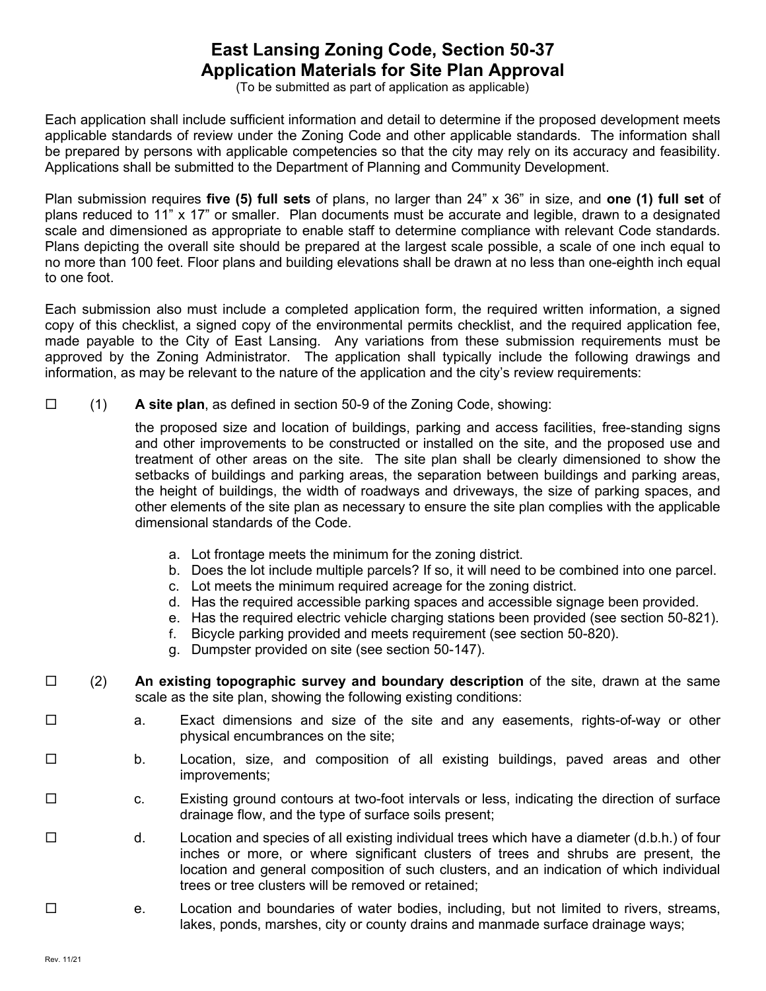# **East Lansing Zoning Code, Section 50-37 Application Materials for Site Plan Approval**

(To be submitted as part of application as applicable)

Each application shall include sufficient information and detail to determine if the proposed development meets applicable standards of review under the Zoning Code and other applicable standards. The information shall be prepared by persons with applicable competencies so that the city may rely on its accuracy and feasibility. Applications shall be submitted to the Department of Planning and Community Development.

Plan submission requires **five (5) full sets** of plans, no larger than 24" x 36" in size, and **one (1) full set** of plans reduced to 11" x 17" or smaller. Plan documents must be accurate and legible, drawn to a designated scale and dimensioned as appropriate to enable staff to determine compliance with relevant Code standards. Plans depicting the overall site should be prepared at the largest scale possible, a scale of one inch equal to no more than 100 feet. Floor plans and building elevations shall be drawn at no less than one-eighth inch equal to one foot.

Each submission also must include a completed application form, the required written information, a signed copy of this checklist, a signed copy of the environmental permits checklist, and the required application fee, made payable to the City of East Lansing. Any variations from these submission requirements must be approved by the Zoning Administrator. The application shall typically include the following drawings and information, as may be relevant to the nature of the application and the city's review requirements:

(1) **A site plan**, as defined in section 50-9 of the Zoning Code, showing:

the proposed size and location of buildings, parking and access facilities, free-standing signs and other improvements to be constructed or installed on the site, and the proposed use and treatment of other areas on the site. The site plan shall be clearly dimensioned to show the setbacks of buildings and parking areas, the separation between buildings and parking areas, the height of buildings, the width of roadways and driveways, the size of parking spaces, and other elements of the site plan as necessary to ensure the site plan complies with the applicable dimensional standards of the Code.

- a. Lot frontage meets the minimum for the zoning district.
- b. Does the lot include multiple parcels? If so, it will need to be combined into one parcel.
- c. Lot meets the minimum required acreage for the zoning district.
- d. Has the required accessible parking spaces and accessible signage been provided.
- e. Has the required electric vehicle charging stations been provided (see section 50-821).
- f. Bicycle parking provided and meets requirement (see section 50-820).
- g. Dumpster provided on site (see section 50-147).
- (2) **An existing topographic survey and boundary description** of the site, drawn at the same scale as the site plan, showing the following existing conditions:
- □ a. Exact dimensions and size of the site and any easements, rights-of-way or other physical encumbrances on the site;
- □ b. Location, size, and composition of all existing buildings, paved areas and other improvements;
- □ c. Existing ground contours at two-foot intervals or less, indicating the direction of surface drainage flow, and the type of surface soils present;
- $\square$  d. Location and species of all existing individual trees which have a diameter (d.b.h.) of four inches or more, or where significant clusters of trees and shrubs are present, the location and general composition of such clusters, and an indication of which individual trees or tree clusters will be removed or retained;
- □ e. Location and boundaries of water bodies, including, but not limited to rivers, streams, lakes, ponds, marshes, city or county drains and manmade surface drainage ways;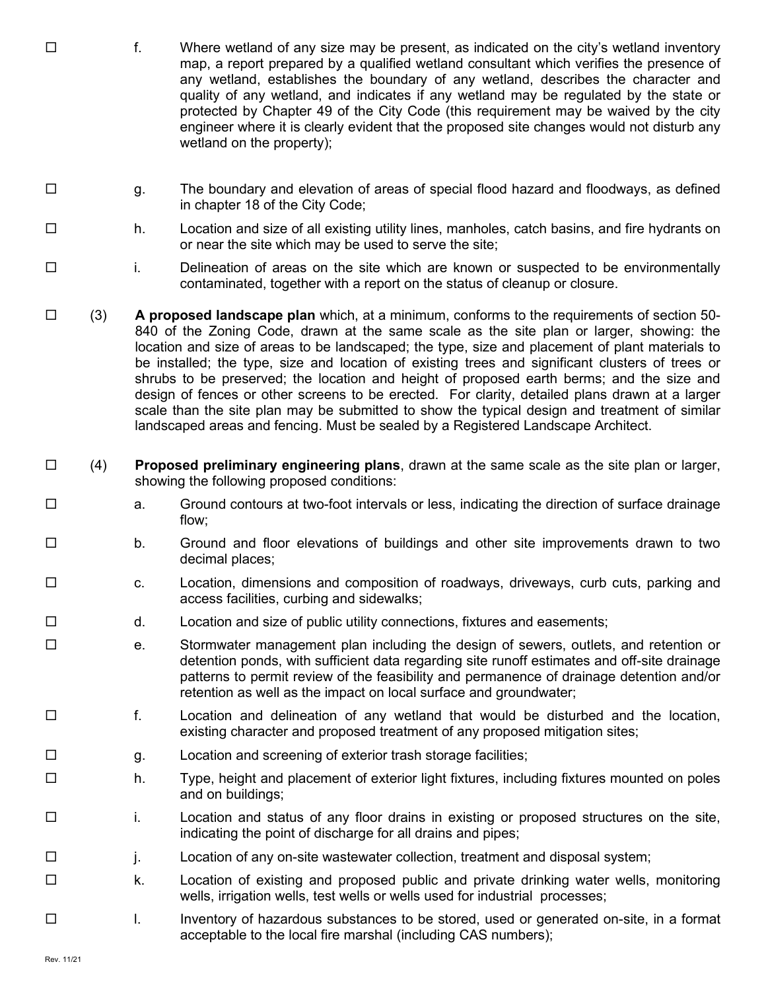- $\square$  f. Where wetland of any size may be present, as indicated on the city's wetland inventory map, a report prepared by a qualified wetland consultant which verifies the presence of any wetland, establishes the boundary of any wetland, describes the character and quality of any wetland, and indicates if any wetland may be regulated by the state or protected by Chapter 49 of the City Code (this requirement may be waived by the city engineer where it is clearly evident that the proposed site changes would not disturb any wetland on the property);
- □ g. The boundary and elevation of areas of special flood hazard and floodways, as defined in chapter 18 of the City Code;
- $\square$  h. Location and size of all existing utility lines, manholes, catch basins, and fire hydrants on or near the site which may be used to serve the site;
- i. Delineation of areas on the site which are known or suspected to be environmentally contaminated, together with a report on the status of cleanup or closure.
- (3) **A proposed landscape plan** which, at a minimum, conforms to the requirements of section 50- 840 of the Zoning Code, drawn at the same scale as the site plan or larger, showing: the location and size of areas to be landscaped; the type, size and placement of plant materials to be installed; the type, size and location of existing trees and significant clusters of trees or shrubs to be preserved; the location and height of proposed earth berms; and the size and design of fences or other screens to be erected. For clarity, detailed plans drawn at a larger scale than the site plan may be submitted to show the typical design and treatment of similar landscaped areas and fencing. Must be sealed by a Registered Landscape Architect.
- (4) **Proposed preliminary engineering plans**, drawn at the same scale as the site plan or larger, showing the following proposed conditions:
- $\square$  a. Ground contours at two-foot intervals or less, indicating the direction of surface drainage flow;
- □ b. Ground and floor elevations of buildings and other site improvements drawn to two decimal places;
- □ c. Location, dimensions and composition of roadways, driveways, curb cuts, parking and access facilities, curbing and sidewalks;
- $\square$  d. Location and size of public utility connections, fixtures and easements;
- □ e. Stormwater management plan including the design of sewers, outlets, and retention or detention ponds, with sufficient data regarding site runoff estimates and off-site drainage patterns to permit review of the feasibility and permanence of drainage detention and/or retention as well as the impact on local surface and groundwater;
- f. Location and delineation of any wetland that would be disturbed and the location, existing character and proposed treatment of any proposed mitigation sites;
- □ g. bocation and screening of exterior trash storage facilities;
- □ h. Type, height and placement of exterior light fixtures, including fixtures mounted on poles and on buildings;
- $\square$  i. Location and status of any floor drains in existing or proposed structures on the site, indicating the point of discharge for all drains and pipes;
- j. Location of any on-site wastewater collection, treatment and disposal system;
- □ k. Location of existing and proposed public and private drinking water wells, monitoring wells, irrigation wells, test wells or wells used for industrial processes;
- l. Inventory of hazardous substances to be stored, used or generated on-site, in a format acceptable to the local fire marshal (including CAS numbers);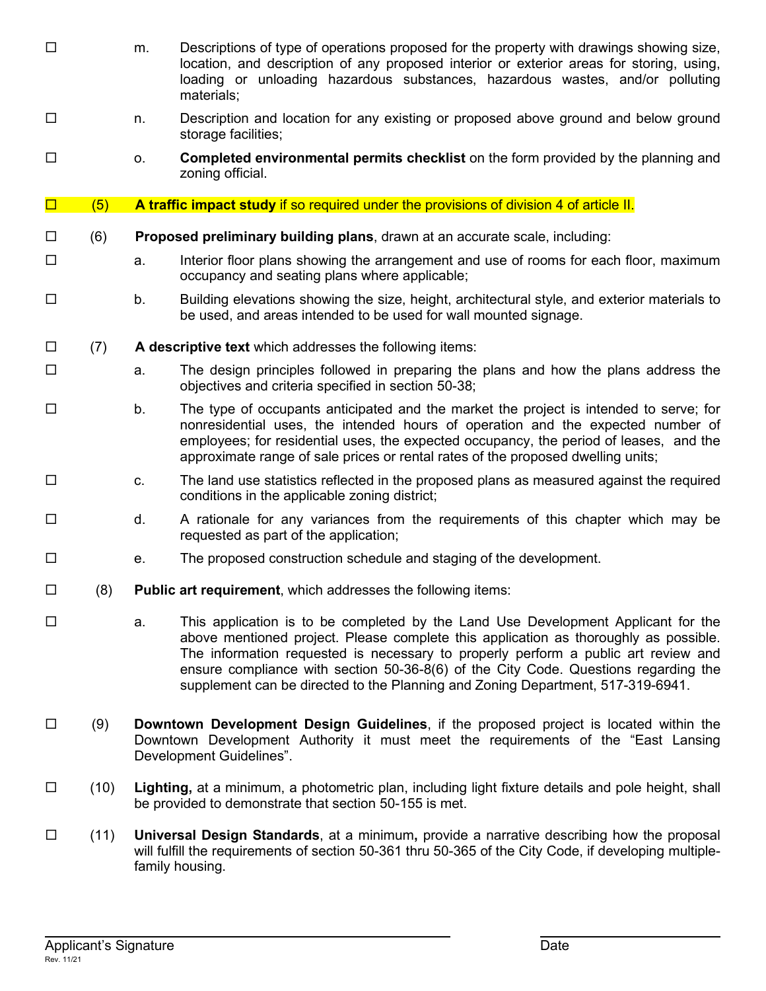- □ m. Descriptions of type of operations proposed for the property with drawings showing size, location, and description of any proposed interior or exterior areas for storing, using, loading or unloading hazardous substances, hazardous wastes, and/or polluting materials; □ 1. Description and location for any existing or proposed above ground and below ground storage facilities; o. **Completed environmental permits checklist** on the form provided by the planning and zoning official. **D** (5) A traffic impact study if so required under the provisions of division 4 of article II. (6) **Proposed preliminary building plans**, drawn at an accurate scale, including:  $\square$  each floor floor plans showing the arrangement and use of rooms for each floor, maximum occupancy and seating plans where applicable;  $\square$  b. Building elevations showing the size, height, architectural style, and exterior materials to be used, and areas intended to be used for wall mounted signage. (7) **A descriptive text** which addresses the following items:  $\square$  a. The design principles followed in preparing the plans and how the plans address the objectives and criteria specified in section 50-38;  $\square$  b. The type of occupants anticipated and the market the project is intended to serve; for nonresidential uses, the intended hours of operation and the expected number of employees; for residential uses, the expected occupancy, the period of leases, and the approximate range of sale prices or rental rates of the proposed dwelling units;  $\square$  c. The land use statistics reflected in the proposed plans as measured against the required conditions in the applicable zoning district;  $\square$  d. A rationale for any variances from the requirements of this chapter which may be requested as part of the application;  $\square$  e. The proposed construction schedule and staging of the development.  $\Box$  (8) **Public art requirement**, which addresses the following items: □ a. This application is to be completed by the Land Use Development Applicant for the above mentioned project. Please complete this application as thoroughly as possible. The information requested is necessary to properly perform a public art review and ensure compliance with section 50-36-8(6) of the City Code. Questions regarding the supplement can be directed to the Planning and Zoning Department, 517-319-6941. (9) **Downtown Development Design Guidelines**, if the proposed project is located within the Downtown Development Authority it must meet the requirements of the "East Lansing Development Guidelines". (10) **Lighting,** at a minimum, a photometric plan, including light fixture details and pole height, shall be provided to demonstrate that section 50-155 is met. (11) **Universal Design Standards**, at a minimum**,** provide a narrative describing how the proposal
	- will fulfill the requirements of section 50-361 thru 50-365 of the City Code, if developing multiplefamily housing.